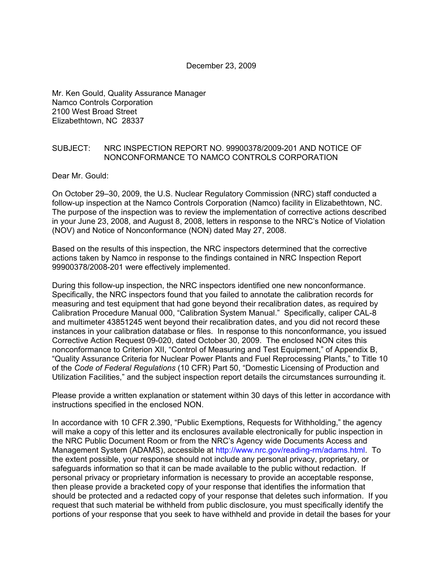#### December 23, 2009

Mr. Ken Gould, Quality Assurance Manager Namco Controls Corporation 2100 West Broad Street Elizabethtown, NC 28337

#### SUBJECT: NRC INSPECTION REPORT NO. 99900378/2009-201 AND NOTICE OF NONCONFORMANCE TO NAMCO CONTROLS CORPORATION

Dear Mr. Gould:

On October 29–30, 2009, the U.S. Nuclear Regulatory Commission (NRC) staff conducted a follow-up inspection at the Namco Controls Corporation (Namco) facility in Elizabethtown, NC. The purpose of the inspection was to review the implementation of corrective actions described in your June 23, 2008, and August 8, 2008, letters in response to the NRC's Notice of Violation (NOV) and Notice of Nonconformance (NON) dated May 27, 2008.

Based on the results of this inspection, the NRC inspectors determined that the corrective actions taken by Namco in response to the findings contained in NRC Inspection Report 99900378/2008-201 were effectively implemented.

During this follow-up inspection, the NRC inspectors identified one new nonconformance. Specifically, the NRC inspectors found that you failed to annotate the calibration records for measuring and test equipment that had gone beyond their recalibration dates, as required by Calibration Procedure Manual 000, "Calibration System Manual." Specifically, caliper CAL-8 and multimeter 43851245 went beyond their recalibration dates, and you did not record these instances in your calibration database or files. In response to this nonconformance, you issued Corrective Action Request 09-020, dated October 30, 2009. The enclosed NON cites this nonconformance to Criterion XII, "Control of Measuring and Test Equipment," of Appendix B, "Quality Assurance Criteria for Nuclear Power Plants and Fuel Reprocessing Plants," to Title 10 of the *Code of Federal Regulations* (10 CFR) Part 50, "Domestic Licensing of Production and Utilization Facilities," and the subject inspection report details the circumstances surrounding it.

Please provide a written explanation or statement within 30 days of this letter in accordance with instructions specified in the enclosed NON.

In accordance with 10 CFR 2.390, "Public Exemptions, Requests for Withholding," the agency will make a copy of this letter and its enclosures available electronically for public inspection in the NRC Public Document Room or from the NRC's Agency wide Documents Access and Management System (ADAMS), accessible at http://www.nrc.gov/reading-rm/adams.html. To the extent possible, your response should not include any personal privacy, proprietary, or safeguards information so that it can be made available to the public without redaction. If personal privacy or proprietary information is necessary to provide an acceptable response, then please provide a bracketed copy of your response that identifies the information that should be protected and a redacted copy of your response that deletes such information. If you request that such material be withheld from public disclosure, you must specifically identify the portions of your response that you seek to have withheld and provide in detail the bases for your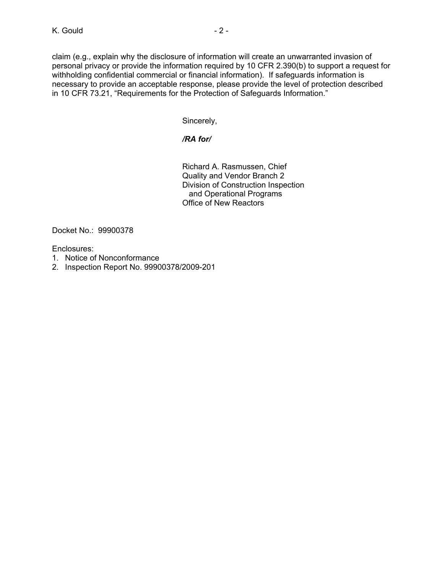claim (e.g., explain why the disclosure of information will create an unwarranted invasion of personal privacy or provide the information required by 10 CFR 2.390(b) to support a request for withholding confidential commercial or financial information). If safeguards information is necessary to provide an acceptable response, please provide the level of protection described in 10 CFR 73.21, "Requirements for the Protection of Safeguards Information."

Sincerely,

# */RA for/*

Richard A. Rasmussen, Chief Quality and Vendor Branch 2 Division of Construction Inspection and Operational Programs Office of New Reactors

Docket No.: 99900378

Enclosures:

- 1. Notice of Nonconformance
- 2. Inspection Report No. 99900378/2009-201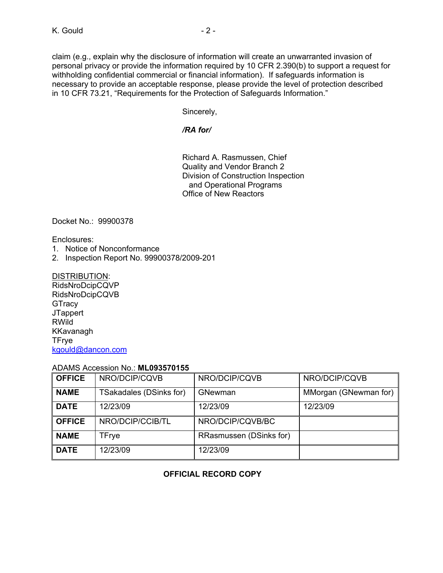claim (e.g., explain why the disclosure of information will create an unwarranted invasion of personal privacy or provide the information required by 10 CFR 2.390(b) to support a request for withholding confidential commercial or financial information). If safeguards information is necessary to provide an acceptable response, please provide the level of protection described in 10 CFR 73.21, "Requirements for the Protection of Safeguards Information."

Sincerely,

### */RA for/*

Richard A. Rasmussen, Chief Quality and Vendor Branch 2 Division of Construction Inspection and Operational Programs Office of New Reactors

Docket No.: 99900378

Enclosures:

- 1. Notice of Nonconformance
- 2. Inspection Report No. 99900378/2009-201

### DISTRIBUTION:

RidsNroDcipCQVP RidsNroDcipCQVB **GTracy JTappert** RWild KKavanagh TFrye kgould@dancon.com

### ADAMS Accession No.: **ML093570155**

| <b>OFFICE</b> | NRO/DCIP/CQVB           | NRO/DCIP/CQVB           | NRO/DCIP/CQVB         |
|---------------|-------------------------|-------------------------|-----------------------|
| <b>NAME</b>   | TSakadales (DSinks for) | GNewman                 | MMorgan (GNewman for) |
| <b>DATE</b>   | 12/23/09                | 12/23/09                | 12/23/09              |
| <b>OFFICE</b> | NRO/DCIP/CCIB/TL        | NRO/DCIP/CQVB/BC        |                       |
| <b>NAME</b>   | <b>TFrye</b>            | RRasmussen (DSinks for) |                       |
| <b>DATE</b>   | 12/23/09                | 12/23/09                |                       |

# **OFFICIAL RECORD COPY**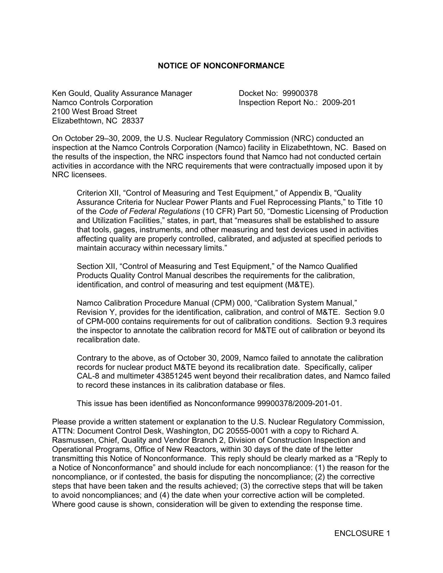#### **NOTICE OF NONCONFORMANCE**

Ken Gould, Quality Assurance Manager Docket No: 99900378 Namco Controls Corporation **Inspection Report No.: 2009-201** 2100 West Broad Street Elizabethtown, NC 28337

On October 29–30, 2009, the U.S. Nuclear Regulatory Commission (NRC) conducted an inspection at the Namco Controls Corporation (Namco) facility in Elizabethtown, NC. Based on the results of the inspection, the NRC inspectors found that Namco had not conducted certain activities in accordance with the NRC requirements that were contractually imposed upon it by NRC licensees.

 Criterion XII, "Control of Measuring and Test Equipment," of Appendix B, "Quality Assurance Criteria for Nuclear Power Plants and Fuel Reprocessing Plants," to Title 10 of the *Code of Federal Regulations* (10 CFR) Part 50, "Domestic Licensing of Production and Utilization Facilities," states, in part, that "measures shall be established to assure that tools, gages, instruments, and other measuring and test devices used in activities affecting quality are properly controlled, calibrated, and adjusted at specified periods to maintain accuracy within necessary limits."

 Section XII, "Control of Measuring and Test Equipment," of the Namco Qualified Products Quality Control Manual describes the requirements for the calibration, identification, and control of measuring and test equipment (M&TE).

 Namco Calibration Procedure Manual (CPM) 000, "Calibration System Manual," Revision Y, provides for the identification, calibration, and control of M&TE. Section 9.0 of CPM-000 contains requirements for out of calibration conditions. Section 9.3 requires the inspector to annotate the calibration record for M&TE out of calibration or beyond its recalibration date.

 Contrary to the above, as of October 30, 2009, Namco failed to annotate the calibration records for nuclear product M&TE beyond its recalibration date. Specifically, caliper CAL-8 and multimeter 43851245 went beyond their recalibration dates, and Namco failed to record these instances in its calibration database or files.

This issue has been identified as Nonconformance 99900378/2009-201-01.

Please provide a written statement or explanation to the U.S. Nuclear Regulatory Commission, ATTN: Document Control Desk, Washington, DC 20555-0001 with a copy to Richard A. Rasmussen, Chief, Quality and Vendor Branch 2, Division of Construction Inspection and Operational Programs, Office of New Reactors, within 30 days of the date of the letter transmitting this Notice of Nonconformance. This reply should be clearly marked as a "Reply to a Notice of Nonconformance" and should include for each noncompliance: (1) the reason for the noncompliance, or if contested, the basis for disputing the noncompliance; (2) the corrective steps that have been taken and the results achieved; (3) the corrective steps that will be taken to avoid noncompliances; and (4) the date when your corrective action will be completed. Where good cause is shown, consideration will be given to extending the response time.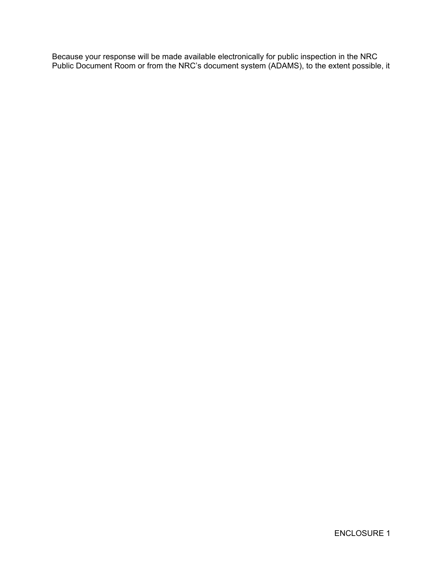Because your response will be made available electronically for public inspection in the NRC Public Document Room or from the NRC's document system (ADAMS), to the extent possible, it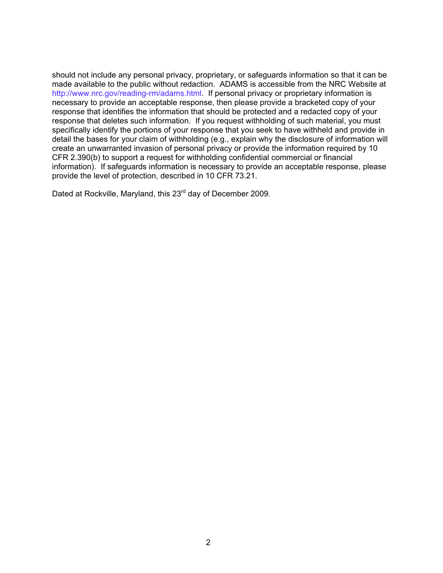should not include any personal privacy, proprietary, or safeguards information so that it can be made available to the public without redaction. ADAMS is accessible from the NRC Website at http://www.nrc.gov/reading-rm/adams.html. If personal privacy or proprietary information is necessary to provide an acceptable response, then please provide a bracketed copy of your response that identifies the information that should be protected and a redacted copy of your response that deletes such information. If you request withholding of such material, you must specifically identify the portions of your response that you seek to have withheld and provide in detail the bases for your claim of withholding (e.g., explain why the disclosure of information will create an unwarranted invasion of personal privacy or provide the information required by 10 CFR 2.390(b) to support a request for withholding confidential commercial or financial information). If safeguards information is necessary to provide an acceptable response, please provide the level of protection, described in 10 CFR 73.21.

Dated at Rockville, Maryland, this 23<sup>rd</sup> day of December 2009.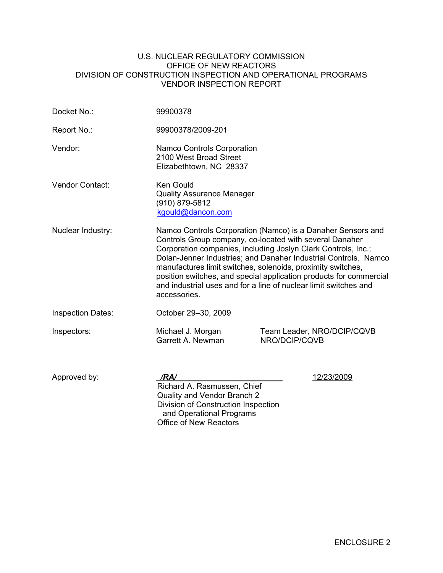#### U.S. NUCLEAR REGULATORY COMMISSION OFFICE OF NEW REACTORS DIVISION OF CONSTRUCTION INSPECTION AND OPERATIONAL PROGRAMS VENDOR INSPECTION REPORT

| Docket No.:              | 99900378                                                                                                                                                                                                                                                                                                                                                                                                                                                                            |                                             |  |
|--------------------------|-------------------------------------------------------------------------------------------------------------------------------------------------------------------------------------------------------------------------------------------------------------------------------------------------------------------------------------------------------------------------------------------------------------------------------------------------------------------------------------|---------------------------------------------|--|
| Report No.:              | 99900378/2009-201                                                                                                                                                                                                                                                                                                                                                                                                                                                                   |                                             |  |
| Vendor:                  | <b>Namco Controls Corporation</b><br>2100 West Broad Street<br>Elizabethtown, NC 28337                                                                                                                                                                                                                                                                                                                                                                                              |                                             |  |
| Vendor Contact:          | Ken Gould<br><b>Quality Assurance Manager</b><br>(910) 879-5812<br>kgould@dancon.com                                                                                                                                                                                                                                                                                                                                                                                                |                                             |  |
| Nuclear Industry:        | Namco Controls Corporation (Namco) is a Danaher Sensors and<br>Controls Group company, co-located with several Danaher<br>Corporation companies, including Joslyn Clark Controls, Inc.;<br>Dolan-Jenner Industries; and Danaher Industrial Controls. Namco<br>manufactures limit switches, solenoids, proximity switches,<br>position switches, and special application products for commercial<br>and industrial uses and for a line of nuclear limit switches and<br>accessories. |                                             |  |
| <b>Inspection Dates:</b> | October 29-30, 2009                                                                                                                                                                                                                                                                                                                                                                                                                                                                 |                                             |  |
| Inspectors:              | Michael J. Morgan<br>Garrett A. Newman                                                                                                                                                                                                                                                                                                                                                                                                                                              | Team Leader, NRO/DCIP/CQVB<br>NRO/DCIP/CQVB |  |
| Approved by:             | /RA/<br>Richard A. Rasmussen, Chief<br>Quality and Vendor Branch 2<br>Division of Construction Inspection<br>and Operational Programs<br><b>Office of New Reactors</b>                                                                                                                                                                                                                                                                                                              | 12/23/2009                                  |  |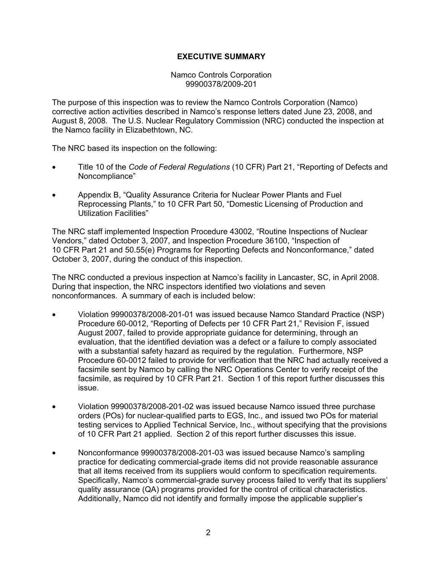## **EXECUTIVE SUMMARY**

Namco Controls Corporation 99900378/2009-201

The purpose of this inspection was to review the Namco Controls Corporation (Namco) corrective action activities described in Namco's response letters dated June 23, 2008, and August 8, 2008. The U.S. Nuclear Regulatory Commission (NRC) conducted the inspection at the Namco facility in Elizabethtown, NC.

The NRC based its inspection on the following:

- Title 10 of the *Code of Federal Regulations* (10 CFR) Part 21, "Reporting of Defects and Noncompliance"
- Appendix B, "Quality Assurance Criteria for Nuclear Power Plants and Fuel Reprocessing Plants," to 10 CFR Part 50, "Domestic Licensing of Production and Utilization Facilities"

The NRC staff implemented Inspection Procedure 43002, "Routine Inspections of Nuclear Vendors," dated October 3, 2007, and Inspection Procedure 36100, "Inspection of 10 CFR Part 21 and 50.55(e) Programs for Reporting Defects and Nonconformance," dated October 3, 2007, during the conduct of this inspection.

The NRC conducted a previous inspection at Namco's facility in Lancaster, SC, in April 2008. During that inspection, the NRC inspectors identified two violations and seven nonconformances. A summary of each is included below:

- Violation 99900378/2008-201-01 was issued because Namco Standard Practice (NSP) Procedure 60-0012, "Reporting of Defects per 10 CFR Part 21," Revision F, issued August 2007, failed to provide appropriate guidance for determining, through an evaluation, that the identified deviation was a defect or a failure to comply associated with a substantial safety hazard as required by the regulation. Furthermore, NSP Procedure 60-0012 failed to provide for verification that the NRC had actually received a facsimile sent by Namco by calling the NRC Operations Center to verify receipt of the facsimile, as required by 10 CFR Part 21. Section 1 of this report further discusses this issue.
- Violation 99900378/2008-201-02 was issued because Namco issued three purchase orders (POs) for nuclear-qualified parts to EGS, Inc., and issued two POs for material testing services to Applied Technical Service, Inc., without specifying that the provisions of 10 CFR Part 21 applied. Section 2 of this report further discusses this issue.
- Nonconformance 99900378/2008-201-03 was issued because Namco's sampling practice for dedicating commercial-grade items did not provide reasonable assurance that all items received from its suppliers would conform to specification requirements. Specifically, Namco's commercial-grade survey process failed to verify that its suppliers' quality assurance (QA) programs provided for the control of critical characteristics. Additionally, Namco did not identify and formally impose the applicable supplier's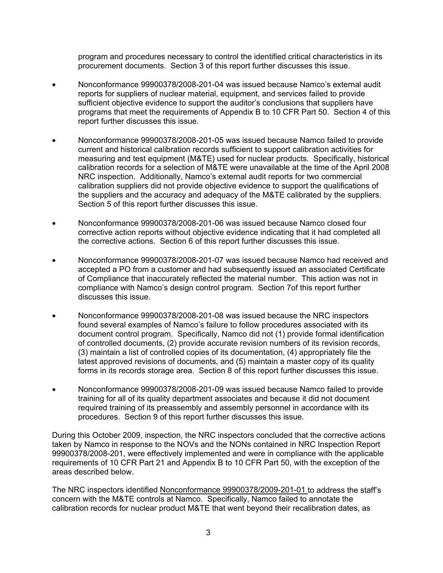program and procedures necessary to control the identified critical characteristics in its procurement documents. Section 3 of this report further discusses this issue.

- Nonconformance 99900378/2008-201-04 was issued because Namco's external audit reports for suppliers of nuclear material, equipment, and services failed to provide sufficient objective evidence to support the auditor's conclusions that suppliers have programs that meet the requirements of Appendix B to 10 CFR Part 50. Section 4 of this report further discusses this issue.
- Nonconformance 99900378/2008-201-05 was issued because Namco failed to provide current and historical calibration records sufficient to support calibration activities for measuring and test equipment (M&TE) used for nuclear products. Specifically, historical calibration records for a selection of M&TE were unavailable at the time of the April 2008 NRC inspection. Additionally, Namco's external audit reports for two commercial calibration suppliers did not provide objective evidence to support the qualifications of the suppliers and the accuracy and adequacy of the M&TE calibrated by the suppliers. Section 5 of this report further discusses this issue.
- Nonconformance 99900378/2008-201-06 was issued because Namco closed four corrective action reports without objective evidence indicating that it had completed all the corrective actions. Section 6 of this report further discusses this issue.
- Nonconformance 99900378/2008-201-07 was issued because Namco had received and accepted a PO from a customer and had subsequently issued an associated Certificate of Compliance that inaccurately reflected the material number. This action was not in compliance with Namco's design control program. Section 7of this report further discusses this issue.
- Nonconformance 99900378/2008-201-08 was issued because the NRC inspectors found several examples of Namco's failure to follow procedures associated with its document control program. Specifically, Namco did not (1) provide formal identification of controlled documents, (2) provide accurate revision numbers of its revision records, (3) maintain a list of controlled copies of its documentation, (4) appropriately file the latest approved revisions of documents, and (5) maintain a master copy of its quality forms in its records storage area. Section 8 of this report further discusses this issue.
- Nonconformance 99900378/2008-201-09 was issued because Namco failed to provide training for all of its quality department associates and because it did not document required training of its preassembly and assembly personnel in accordance with its procedures. Section 9 of this report further discusses this issue.

During this October 2009, inspection, the NRC inspectors concluded that the corrective actions taken by Namco in response to the NOVs and the NONs contained in NRC Inspection Report 99900378/2008-201, were effectively implemented and were in compliance with the applicable requirements of 10 CFR Part 21 and Appendix B to 10 CFR Part 50, with the exception of the areas described below.

The NRC inspectors identified Nonconformance 99900378/2009-201-01 to address the staff's concern with the M&TE controls at Namco. Specifically, Namco failed to annotate the calibration records for nuclear product M&TE that went beyond their recalibration dates, as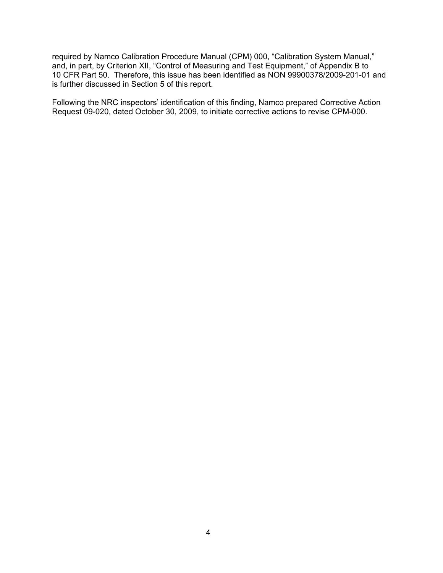required by Namco Calibration Procedure Manual (CPM) 000, "Calibration System Manual," and, in part, by Criterion XII, "Control of Measuring and Test Equipment," of Appendix B to 10 CFR Part 50. Therefore, this issue has been identified as NON 99900378/2009-201-01 and is further discussed in Section 5 of this report.

Following the NRC inspectors' identification of this finding, Namco prepared Corrective Action Request 09-020, dated October 30, 2009, to initiate corrective actions to revise CPM-000.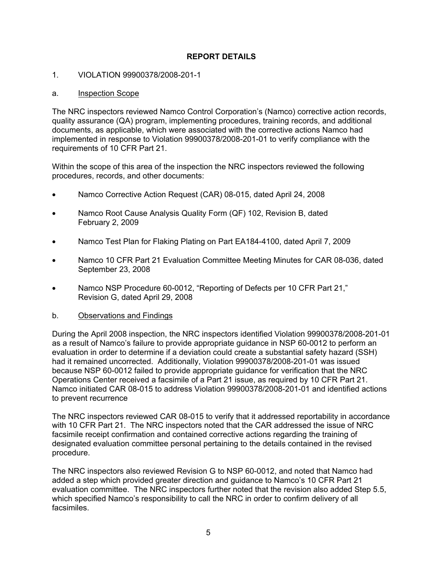# **REPORT DETAILS**

### 1. VIOLATION 99900378/2008-201-1

### a. Inspection Scope

The NRC inspectors reviewed Namco Control Corporation's (Namco) corrective action records, quality assurance (QA) program, implementing procedures, training records, and additional documents, as applicable, which were associated with the corrective actions Namco had implemented in response to Violation 99900378/2008-201-01 to verify compliance with the requirements of 10 CFR Part 21.

Within the scope of this area of the inspection the NRC inspectors reviewed the following procedures, records, and other documents:

- Namco Corrective Action Request (CAR) 08-015, dated April 24, 2008
- Namco Root Cause Analysis Quality Form (QF) 102, Revision B, dated February 2, 2009
- Namco Test Plan for Flaking Plating on Part EA184-4100, dated April 7, 2009
- Namco 10 CFR Part 21 Evaluation Committee Meeting Minutes for CAR 08-036, dated September 23, 2008
- Namco NSP Procedure 60-0012, "Reporting of Defects per 10 CFR Part 21," Revision G, dated April 29, 2008
- b. Observations and Findings

During the April 2008 inspection, the NRC inspectors identified Violation 99900378/2008-201-01 as a result of Namco's failure to provide appropriate guidance in NSP 60-0012 to perform an evaluation in order to determine if a deviation could create a substantial safety hazard (SSH) had it remained uncorrected. Additionally, Violation 99900378/2008-201-01 was issued because NSP 60-0012 failed to provide appropriate guidance for verification that the NRC Operations Center received a facsimile of a Part 21 issue, as required by 10 CFR Part 21. Namco initiated CAR 08-015 to address Violation 99900378/2008-201-01 and identified actions to prevent recurrence

The NRC inspectors reviewed CAR 08-015 to verify that it addressed reportability in accordance with 10 CFR Part 21. The NRC inspectors noted that the CAR addressed the issue of NRC facsimile receipt confirmation and contained corrective actions regarding the training of designated evaluation committee personal pertaining to the details contained in the revised procedure.

The NRC inspectors also reviewed Revision G to NSP 60-0012, and noted that Namco had added a step which provided greater direction and guidance to Namco's 10 CFR Part 21 evaluation committee. The NRC inspectors further noted that the revision also added Step 5.5, which specified Namco's responsibility to call the NRC in order to confirm delivery of all facsimiles.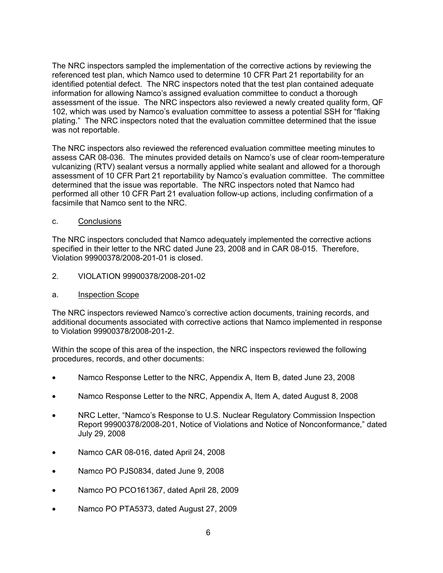The NRC inspectors sampled the implementation of the corrective actions by reviewing the referenced test plan, which Namco used to determine 10 CFR Part 21 reportability for an identified potential defect. The NRC inspectors noted that the test plan contained adequate information for allowing Namco's assigned evaluation committee to conduct a thorough assessment of the issue. The NRC inspectors also reviewed a newly created quality form, QF 102, which was used by Namco's evaluation committee to assess a potential SSH for "flaking plating." The NRC inspectors noted that the evaluation committee determined that the issue was not reportable.

The NRC inspectors also reviewed the referenced evaluation committee meeting minutes to assess CAR 08-036. The minutes provided details on Namco's use of clear room-temperature vulcanizing (RTV) sealant versus a normally applied white sealant and allowed for a thorough assessment of 10 CFR Part 21 reportability by Namco's evaluation committee. The committee determined that the issue was reportable. The NRC inspectors noted that Namco had performed all other 10 CFR Part 21 evaluation follow-up actions, including confirmation of a facsimile that Namco sent to the NRC.

### c. Conclusions

The NRC inspectors concluded that Namco adequately implemented the corrective actions specified in their letter to the NRC dated June 23, 2008 and in CAR 08-015. Therefore, Violation 99900378/2008-201-01 is closed.

- 2. VIOLATION 99900378/2008-201-02
- a. Inspection Scope

The NRC inspectors reviewed Namco's corrective action documents, training records, and additional documents associated with corrective actions that Namco implemented in response to Violation 99900378/2008-201-2.

- Namco Response Letter to the NRC, Appendix A, Item B, dated June 23, 2008
- Namco Response Letter to the NRC, Appendix A, Item A, dated August 8, 2008
- NRC Letter, "Namco's Response to U.S. Nuclear Regulatory Commission Inspection Report 99900378/2008-201, Notice of Violations and Notice of Nonconformance," dated July 29, 2008
- Namco CAR 08-016, dated April 24, 2008
- Namco PO PJS0834, dated June 9, 2008
- Namco PO PCO161367, dated April 28, 2009
- Namco PO PTA5373, dated August 27, 2009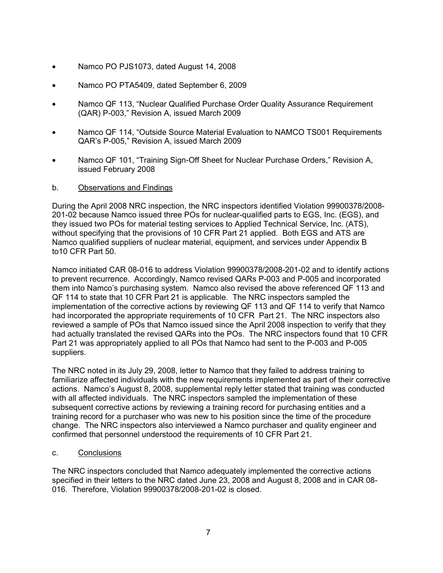- Namco PO PJS1073, dated August 14, 2008
- Namco PO PTA5409, dated September 6, 2009
- Namco QF 113, "Nuclear Qualified Purchase Order Quality Assurance Requirement (QAR) P-003," Revision A, issued March 2009
- Namco QF 114, "Outside Source Material Evaluation to NAMCO TS001 Requirements QAR's P-005," Revision A, issued March 2009
- Namco QF 101, "Training Sign-Off Sheet for Nuclear Purchase Orders," Revision A, issued February 2008
- b. Observations and Findings

During the April 2008 NRC inspection, the NRC inspectors identified Violation 99900378/2008- 201-02 because Namco issued three POs for nuclear-qualified parts to EGS, Inc. (EGS), and they issued two POs for material testing services to Applied Technical Service, Inc. (ATS), without specifying that the provisions of 10 CFR Part 21 applied. Both EGS and ATS are Namco qualified suppliers of nuclear material, equipment, and services under Appendix B to10 CFR Part 50.

Namco initiated CAR 08-016 to address Violation 99900378/2008-201-02 and to identify actions to prevent recurrence. Accordingly, Namco revised QARs P-003 and P-005 and incorporated them into Namco's purchasing system. Namco also revised the above referenced QF 113 and QF 114 to state that 10 CFR Part 21 is applicable. The NRC inspectors sampled the implementation of the corrective actions by reviewing QF 113 and QF 114 to verify that Namco had incorporated the appropriate requirements of 10 CFR Part 21. The NRC inspectors also reviewed a sample of POs that Namco issued since the April 2008 inspection to verify that they had actually translated the revised QARs into the POs. The NRC inspectors found that 10 CFR Part 21 was appropriately applied to all POs that Namco had sent to the P-003 and P-005 suppliers.

The NRC noted in its July 29, 2008, letter to Namco that they failed to address training to familiarize affected individuals with the new requirements implemented as part of their corrective actions. Namco's August 8, 2008, supplemental reply letter stated that training was conducted with all affected individuals. The NRC inspectors sampled the implementation of these subsequent corrective actions by reviewing a training record for purchasing entities and a training record for a purchaser who was new to his position since the time of the procedure change. The NRC inspectors also interviewed a Namco purchaser and quality engineer and confirmed that personnel understood the requirements of 10 CFR Part 21.

c. Conclusions

The NRC inspectors concluded that Namco adequately implemented the corrective actions specified in their letters to the NRC dated June 23, 2008 and August 8, 2008 and in CAR 08-016. Therefore, Violation 99900378/2008-201-02 is closed.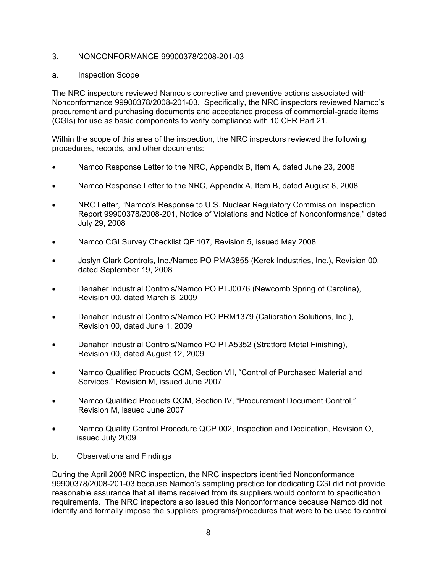### 3. NONCONFORMANCE 99900378/2008-201-03

### a. Inspection Scope

The NRC inspectors reviewed Namco's corrective and preventive actions associated with Nonconformance 99900378/2008-201-03. Specifically, the NRC inspectors reviewed Namco's procurement and purchasing documents and acceptance process of commercial-grade items (CGIs) for use as basic components to verify compliance with 10 CFR Part 21.

Within the scope of this area of the inspection, the NRC inspectors reviewed the following procedures, records, and other documents:

- Namco Response Letter to the NRC, Appendix B, Item A, dated June 23, 2008
- Namco Response Letter to the NRC, Appendix A, Item B, dated August 8, 2008
- NRC Letter, "Namco's Response to U.S. Nuclear Regulatory Commission Inspection Report 99900378/2008-201, Notice of Violations and Notice of Nonconformance," dated July 29, 2008
- Namco CGI Survey Checklist QF 107, Revision 5, issued May 2008
- Joslyn Clark Controls, Inc./Namco PO PMA3855 (Kerek Industries, Inc.), Revision 00, dated September 19, 2008
- Danaher Industrial Controls/Namco PO PTJ0076 (Newcomb Spring of Carolina), Revision 00, dated March 6, 2009
- Danaher Industrial Controls/Namco PO PRM1379 (Calibration Solutions, Inc.), Revision 00, dated June 1, 2009
- Danaher Industrial Controls/Namco PO PTA5352 (Stratford Metal Finishing), Revision 00, dated August 12, 2009
- Namco Qualified Products QCM, Section VII, "Control of Purchased Material and Services," Revision M, issued June 2007
- Namco Qualified Products QCM, Section IV, "Procurement Document Control," Revision M, issued June 2007
- Namco Quality Control Procedure QCP 002, Inspection and Dedication, Revision O, issued July 2009.
- b. Observations and Findings

During the April 2008 NRC inspection, the NRC inspectors identified Nonconformance 99900378/2008-201-03 because Namco's sampling practice for dedicating CGI did not provide reasonable assurance that all items received from its suppliers would conform to specification requirements. The NRC inspectors also issued this Nonconformance because Namco did not identify and formally impose the suppliers' programs/procedures that were to be used to control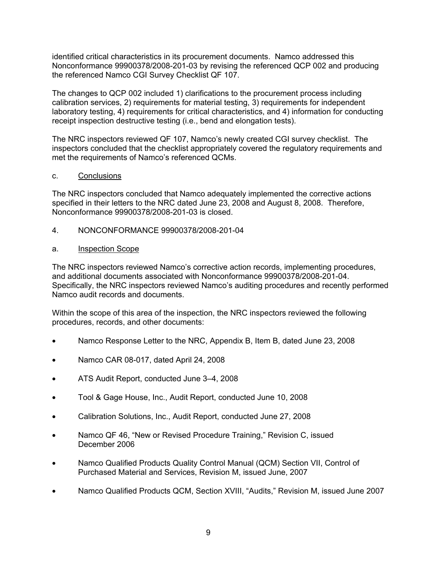identified critical characteristics in its procurement documents. Namco addressed this Nonconformance 99900378/2008-201-03 by revising the referenced QCP 002 and producing the referenced Namco CGI Survey Checklist QF 107.

The changes to QCP 002 included 1) clarifications to the procurement process including calibration services, 2) requirements for material testing, 3) requirements for independent laboratory testing, 4) requirements for critical characteristics, and 4) information for conducting receipt inspection destructive testing (i.e., bend and elongation tests).

The NRC inspectors reviewed QF 107, Namco's newly created CGI survey checklist. The inspectors concluded that the checklist appropriately covered the regulatory requirements and met the requirements of Namco's referenced QCMs.

### c. Conclusions

The NRC inspectors concluded that Namco adequately implemented the corrective actions specified in their letters to the NRC dated June 23, 2008 and August 8, 2008. Therefore, Nonconformance 99900378/2008-201-03 is closed.

4. NONCONFORMANCE 99900378/2008-201-04

### a. Inspection Scope

The NRC inspectors reviewed Namco's corrective action records, implementing procedures, and additional documents associated with Nonconformance 99900378/2008-201-04. Specifically, the NRC inspectors reviewed Namco's auditing procedures and recently performed Namco audit records and documents.

- Namco Response Letter to the NRC, Appendix B, Item B, dated June 23, 2008
- Namco CAR 08-017, dated April 24, 2008
- ATS Audit Report, conducted June 3–4, 2008
- Tool & Gage House, Inc., Audit Report, conducted June 10, 2008
- Calibration Solutions, Inc., Audit Report, conducted June 27, 2008
- Namco QF 46, "New or Revised Procedure Training," Revision C, issued December 2006
- Namco Qualified Products Quality Control Manual (QCM) Section VII, Control of Purchased Material and Services, Revision M, issued June, 2007
- Namco Qualified Products QCM, Section XVIII, "Audits," Revision M, issued June 2007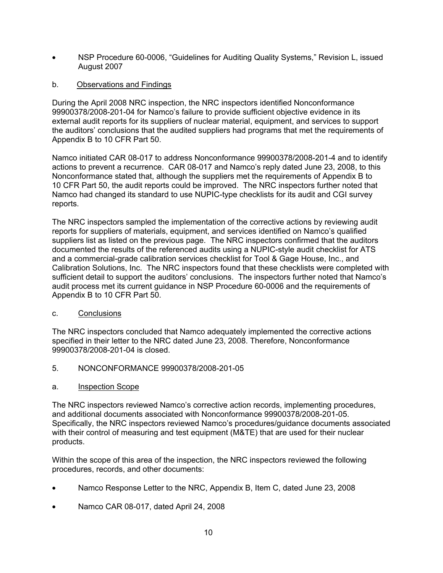- NSP Procedure 60-0006, "Guidelines for Auditing Quality Systems," Revision L, issued August 2007
- b. Observations and Findings

During the April 2008 NRC inspection, the NRC inspectors identified Nonconformance 99900378/2008-201-04 for Namco's failure to provide sufficient objective evidence in its external audit reports for its suppliers of nuclear material, equipment, and services to support the auditors' conclusions that the audited suppliers had programs that met the requirements of Appendix B to 10 CFR Part 50.

Namco initiated CAR 08-017 to address Nonconformance 99900378/2008-201-4 and to identify actions to prevent a recurrence. CAR 08-017 and Namco's reply dated June 23, 2008, to this Nonconformance stated that, although the suppliers met the requirements of Appendix B to 10 CFR Part 50, the audit reports could be improved. The NRC inspectors further noted that Namco had changed its standard to use NUPIC-type checklists for its audit and CGI survey reports.

The NRC inspectors sampled the implementation of the corrective actions by reviewing audit reports for suppliers of materials, equipment, and services identified on Namco's qualified suppliers list as listed on the previous page. The NRC inspectors confirmed that the auditors documented the results of the referenced audits using a NUPIC-style audit checklist for ATS and a commercial-grade calibration services checklist for Tool & Gage House, Inc., and Calibration Solutions, Inc. The NRC inspectors found that these checklists were completed with sufficient detail to support the auditors' conclusions. The inspectors further noted that Namco's audit process met its current guidance in NSP Procedure 60-0006 and the requirements of Appendix B to 10 CFR Part 50.

c. Conclusions

The NRC inspectors concluded that Namco adequately implemented the corrective actions specified in their letter to the NRC dated June 23, 2008. Therefore, Nonconformance 99900378/2008-201-04 is closed.

- 5. NONCONFORMANCE 99900378/2008-201-05
- a. Inspection Scope

The NRC inspectors reviewed Namco's corrective action records, implementing procedures, and additional documents associated with Nonconformance 99900378/2008-201-05. Specifically, the NRC inspectors reviewed Namco's procedures/guidance documents associated with their control of measuring and test equipment (M&TE) that are used for their nuclear products.

- Namco Response Letter to the NRC, Appendix B, Item C, dated June 23, 2008
- Namco CAR 08-017, dated April 24, 2008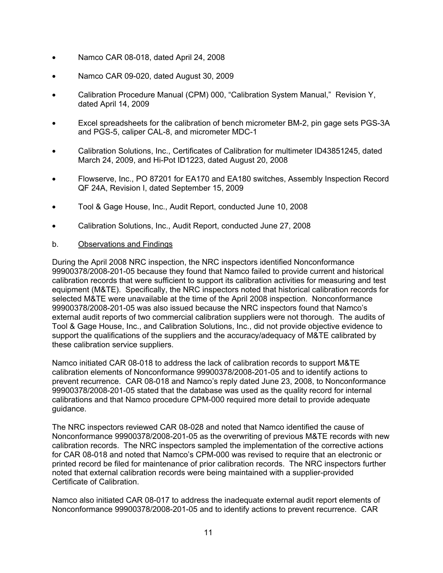- Namco CAR 08-018, dated April 24, 2008
- Namco CAR 09-020, dated August 30, 2009
- Calibration Procedure Manual (CPM) 000, "Calibration System Manual," Revision Y, dated April 14, 2009
- Excel spreadsheets for the calibration of bench micrometer BM-2, pin gage sets PGS-3A and PGS-5, caliper CAL-8, and micrometer MDC-1
- Calibration Solutions, Inc., Certificates of Calibration for multimeter ID43851245, dated March 24, 2009, and Hi-Pot ID1223, dated August 20, 2008
- Flowserve, Inc., PO 87201 for EA170 and EA180 switches, Assembly Inspection Record QF 24A, Revision I, dated September 15, 2009
- Tool & Gage House, Inc., Audit Report, conducted June 10, 2008
- Calibration Solutions, Inc., Audit Report, conducted June 27, 2008
- b. Observations and Findings

During the April 2008 NRC inspection, the NRC inspectors identified Nonconformance 99900378/2008-201-05 because they found that Namco failed to provide current and historical calibration records that were sufficient to support its calibration activities for measuring and test equipment (M&TE). Specifically, the NRC inspectors noted that historical calibration records for selected M&TE were unavailable at the time of the April 2008 inspection. Nonconformance 99900378/2008-201-05 was also issued because the NRC inspectors found that Namco's external audit reports of two commercial calibration suppliers were not thorough. The audits of Tool & Gage House, Inc., and Calibration Solutions, Inc., did not provide objective evidence to support the qualifications of the suppliers and the accuracy/adequacy of M&TE calibrated by these calibration service suppliers.

Namco initiated CAR 08-018 to address the lack of calibration records to support M&TE calibration elements of Nonconformance 99900378/2008-201-05 and to identify actions to prevent recurrence. CAR 08-018 and Namco's reply dated June 23, 2008, to Nonconformance 99900378/2008-201-05 stated that the database was used as the quality record for internal calibrations and that Namco procedure CPM-000 required more detail to provide adequate guidance.

The NRC inspectors reviewed CAR 08-028 and noted that Namco identified the cause of Nonconformance 99900378/2008-201-05 as the overwriting of previous M&TE records with new calibration records. The NRC inspectors sampled the implementation of the corrective actions for CAR 08-018 and noted that Namco's CPM-000 was revised to require that an electronic or printed record be filed for maintenance of prior calibration records. The NRC inspectors further noted that external calibration records were being maintained with a supplier-provided Certificate of Calibration.

Namco also initiated CAR 08-017 to address the inadequate external audit report elements of Nonconformance 99900378/2008-201-05 and to identify actions to prevent recurrence. CAR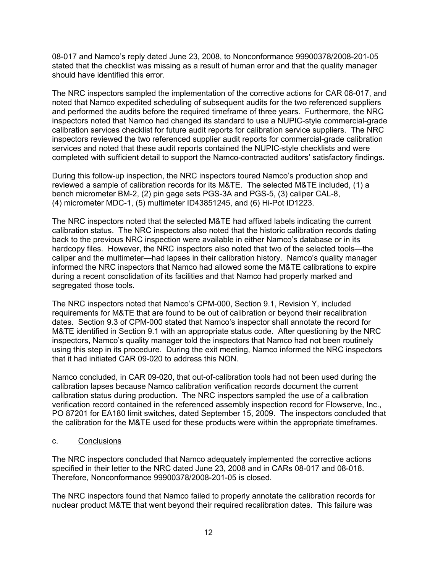08-017 and Namco's reply dated June 23, 2008, to Nonconformance 99900378/2008-201-05 stated that the checklist was missing as a result of human error and that the quality manager should have identified this error.

The NRC inspectors sampled the implementation of the corrective actions for CAR 08-017, and noted that Namco expedited scheduling of subsequent audits for the two referenced suppliers and performed the audits before the required timeframe of three years. Furthermore, the NRC inspectors noted that Namco had changed its standard to use a NUPIC-style commercial-grade calibration services checklist for future audit reports for calibration service suppliers. The NRC inspectors reviewed the two referenced supplier audit reports for commercial-grade calibration services and noted that these audit reports contained the NUPIC-style checklists and were completed with sufficient detail to support the Namco-contracted auditors' satisfactory findings.

During this follow-up inspection, the NRC inspectors toured Namco's production shop and reviewed a sample of calibration records for its M&TE. The selected M&TE included, (1) a bench micrometer BM-2, (2) pin gage sets PGS-3A and PGS-5, (3) caliper CAL-8, (4) micrometer MDC-1, (5) multimeter ID43851245, and (6) Hi-Pot ID1223.

The NRC inspectors noted that the selected M&TE had affixed labels indicating the current calibration status. The NRC inspectors also noted that the historic calibration records dating back to the previous NRC inspection were available in either Namco's database or in its hardcopy files. However, the NRC inspectors also noted that two of the selected tools—the caliper and the multimeter—had lapses in their calibration history. Namco's quality manager informed the NRC inspectors that Namco had allowed some the M&TE calibrations to expire during a recent consolidation of its facilities and that Namco had properly marked and segregated those tools.

The NRC inspectors noted that Namco's CPM-000, Section 9.1, Revision Y, included requirements for M&TE that are found to be out of calibration or beyond their recalibration dates. Section 9.3 of CPM-000 stated that Namco's inspector shall annotate the record for M&TE identified in Section 9.1 with an appropriate status code. After questioning by the NRC inspectors, Namco's quality manager told the inspectors that Namco had not been routinely using this step in its procedure. During the exit meeting, Namco informed the NRC inspectors that it had initiated CAR 09-020 to address this NON.

Namco concluded, in CAR 09-020, that out-of-calibration tools had not been used during the calibration lapses because Namco calibration verification records document the current calibration status during production. The NRC inspectors sampled the use of a calibration verification record contained in the referenced assembly inspection record for Flowserve, Inc., PO 87201 for EA180 limit switches, dated September 15, 2009. The inspectors concluded that the calibration for the M&TE used for these products were within the appropriate timeframes.

### c. Conclusions

The NRC inspectors concluded that Namco adequately implemented the corrective actions specified in their letter to the NRC dated June 23, 2008 and in CARs 08-017 and 08-018. Therefore, Nonconformance 99900378/2008-201-05 is closed.

The NRC inspectors found that Namco failed to properly annotate the calibration records for nuclear product M&TE that went beyond their required recalibration dates. This failure was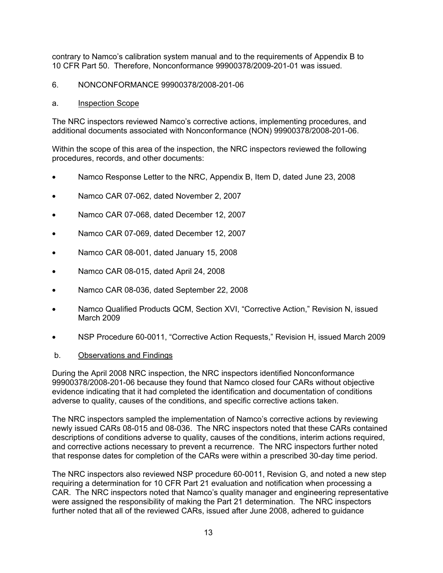contrary to Namco's calibration system manual and to the requirements of Appendix B to 10 CFR Part 50. Therefore, Nonconformance 99900378/2009-201-01 was issued.

### 6. NONCONFORMANCE 99900378/2008-201-06

#### a. Inspection Scope

The NRC inspectors reviewed Namco's corrective actions, implementing procedures, and additional documents associated with Nonconformance (NON) 99900378/2008-201-06.

Within the scope of this area of the inspection, the NRC inspectors reviewed the following procedures, records, and other documents:

- Namco Response Letter to the NRC, Appendix B, Item D, dated June 23, 2008
- Namco CAR 07-062, dated November 2, 2007
- Namco CAR 07-068, dated December 12, 2007
- Namco CAR 07-069, dated December 12, 2007
- Namco CAR 08-001, dated January 15, 2008
- Namco CAR 08-015, dated April 24, 2008
- Namco CAR 08-036, dated September 22, 2008
- Namco Qualified Products QCM, Section XVI, "Corrective Action," Revision N, issued March 2009
- NSP Procedure 60-0011, "Corrective Action Requests," Revision H, issued March 2009

#### b. Observations and Findings

During the April 2008 NRC inspection, the NRC inspectors identified Nonconformance 99900378/2008-201-06 because they found that Namco closed four CARs without objective evidence indicating that it had completed the identification and documentation of conditions adverse to quality, causes of the conditions, and specific corrective actions taken.

The NRC inspectors sampled the implementation of Namco's corrective actions by reviewing newly issued CARs 08-015 and 08-036. The NRC inspectors noted that these CARs contained descriptions of conditions adverse to quality, causes of the conditions, interim actions required, and corrective actions necessary to prevent a recurrence. The NRC inspectors further noted that response dates for completion of the CARs were within a prescribed 30-day time period.

The NRC inspectors also reviewed NSP procedure 60-0011, Revision G, and noted a new step requiring a determination for 10 CFR Part 21 evaluation and notification when processing a CAR. The NRC inspectors noted that Namco's quality manager and engineering representative were assigned the responsibility of making the Part 21 determination. The NRC inspectors further noted that all of the reviewed CARs, issued after June 2008, adhered to guidance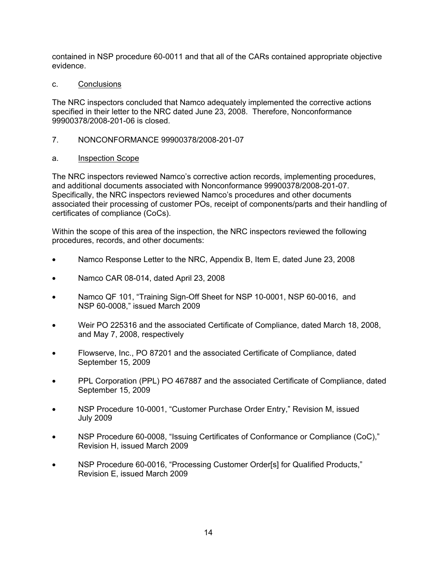contained in NSP procedure 60-0011 and that all of the CARs contained appropriate objective evidence.

c. Conclusions

The NRC inspectors concluded that Namco adequately implemented the corrective actions specified in their letter to the NRC dated June 23, 2008. Therefore, Nonconformance 99900378/2008-201-06 is closed.

7. NONCONFORMANCE 99900378/2008-201-07

# a. Inspection Scope

The NRC inspectors reviewed Namco's corrective action records, implementing procedures, and additional documents associated with Nonconformance 99900378/2008-201-07. Specifically, the NRC inspectors reviewed Namco's procedures and other documents associated their processing of customer POs, receipt of components/parts and their handling of certificates of compliance (CoCs).

- Namco Response Letter to the NRC, Appendix B, Item E, dated June 23, 2008
- Namco CAR 08-014, dated April 23, 2008
- Namco QF 101, "Training Sign-Off Sheet for NSP 10-0001, NSP 60-0016, and NSP 60-0008," issued March 2009
- Weir PO 225316 and the associated Certificate of Compliance, dated March 18, 2008, and May 7, 2008, respectively
- Flowserve, Inc., PO 87201 and the associated Certificate of Compliance, dated September 15, 2009
- PPL Corporation (PPL) PO 467887 and the associated Certificate of Compliance, dated September 15, 2009
- NSP Procedure 10-0001, "Customer Purchase Order Entry," Revision M, issued July 2009
- NSP Procedure 60-0008, "Issuing Certificates of Conformance or Compliance (CoC)," Revision H, issued March 2009
- NSP Procedure 60-0016, "Processing Customer Order[s] for Qualified Products," Revision E, issued March 2009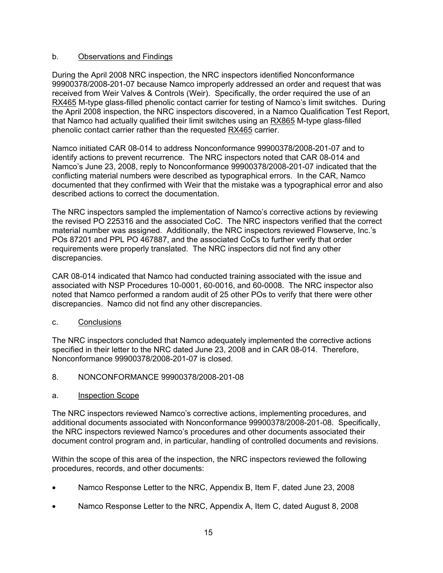## b. Observations and Findings

During the April 2008 NRC inspection, the NRC inspectors identified Nonconformance 99900378/2008-201-07 because Namco improperly addressed an order and request that was received from Weir Valves & Controls (Weir). Specifically, the order required the use of an RX465 M-type glass-filled phenolic contact carrier for testing of Namco's limit switches. During the April 2008 inspection, the NRC inspectors discovered, in a Namco Qualification Test Report, that Namco had actually qualified their limit switches using an RX865 M-type glass-filled phenolic contact carrier rather than the requested RX465 carrier.

Namco initiated CAR 08-014 to address Nonconformance 99900378/2008-201-07 and to identify actions to prevent recurrence. The NRC inspectors noted that CAR 08-014 and Namco's June 23, 2008, reply to Nonconformance 99900378/2008-201-07 indicated that the conflicting material numbers were described as typographical errors. In the CAR, Namco documented that they confirmed with Weir that the mistake was a typographical error and also described actions to correct the documentation.

The NRC inspectors sampled the implementation of Namco's corrective actions by reviewing the revised PO 225316 and the associated CoC. The NRC inspectors verified that the correct material number was assigned. Additionally, the NRC inspectors reviewed Flowserve, Inc.'s POs 87201 and PPL PO 467887, and the associated CoCs to further verify that order requirements were properly translated. The NRC inspectors did not find any other discrepancies.

CAR 08-014 indicated that Namco had conducted training associated with the issue and associated with NSP Procedures 10-0001, 60-0016, and 60-0008. The NRC inspector also noted that Namco performed a random audit of 25 other POs to verify that there were other discrepancies. Namco did not find any other discrepancies.

c. Conclusions

The NRC inspectors concluded that Namco adequately implemented the corrective actions specified in their letter to the NRC dated June 23, 2008 and in CAR 08-014. Therefore, Nonconformance 99900378/2008-201-07 is closed.

# 8. NONCONFORMANCE 99900378/2008-201-08

### a. Inspection Scope

The NRC inspectors reviewed Namco's corrective actions, implementing procedures, and additional documents associated with Nonconformance 99900378/2008-201-08. Specifically, the NRC inspectors reviewed Namco's procedures and other documents associated their document control program and, in particular, handling of controlled documents and revisions.

- Namco Response Letter to the NRC, Appendix B, Item F, dated June 23, 2008
- Namco Response Letter to the NRC, Appendix A, Item C, dated August 8, 2008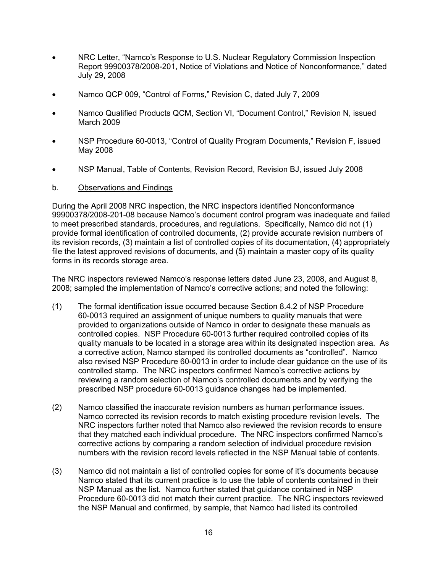- NRC Letter, "Namco's Response to U.S. Nuclear Regulatory Commission Inspection Report 99900378/2008-201, Notice of Violations and Notice of Nonconformance," dated July 29, 2008
- Namco QCP 009, "Control of Forms," Revision C, dated July 7, 2009
- Namco Qualified Products QCM, Section VI, "Document Control," Revision N, issued March 2009
- NSP Procedure 60-0013, "Control of Quality Program Documents," Revision F, issued May 2008
- NSP Manual, Table of Contents, Revision Record, Revision BJ, issued July 2008

### b. Observations and Findings

During the April 2008 NRC inspection, the NRC inspectors identified Nonconformance 99900378/2008-201-08 because Namco's document control program was inadequate and failed to meet prescribed standards, procedures, and regulations. Specifically, Namco did not (1) provide formal identification of controlled documents, (2) provide accurate revision numbers of its revision records, (3) maintain a list of controlled copies of its documentation, (4) appropriately file the latest approved revisions of documents, and (5) maintain a master copy of its quality forms in its records storage area.

The NRC inspectors reviewed Namco's response letters dated June 23, 2008, and August 8, 2008; sampled the implementation of Namco's corrective actions; and noted the following:

- (1) The formal identification issue occurred because Section 8.4.2 of NSP Procedure 60-0013 required an assignment of unique numbers to quality manuals that were provided to organizations outside of Namco in order to designate these manuals as controlled copies. NSP Procedure 60-0013 further required controlled copies of its quality manuals to be located in a storage area within its designated inspection area. As a corrective action, Namco stamped its controlled documents as "controlled". Namco also revised NSP Procedure 60-0013 in order to include clear guidance on the use of its controlled stamp. The NRC inspectors confirmed Namco's corrective actions by reviewing a random selection of Namco's controlled documents and by verifying the prescribed NSP procedure 60-0013 guidance changes had be implemented.
- (2) Namco classified the inaccurate revision numbers as human performance issues. Namco corrected its revision records to match existing procedure revision levels. The NRC inspectors further noted that Namco also reviewed the revision records to ensure that they matched each individual procedure. The NRC inspectors confirmed Namco's corrective actions by comparing a random selection of individual procedure revision numbers with the revision record levels reflected in the NSP Manual table of contents.
- (3) Namco did not maintain a list of controlled copies for some of it's documents because Namco stated that its current practice is to use the table of contents contained in their NSP Manual as the list. Namco further stated that guidance contained in NSP Procedure 60-0013 did not match their current practice. The NRC inspectors reviewed the NSP Manual and confirmed, by sample, that Namco had listed its controlled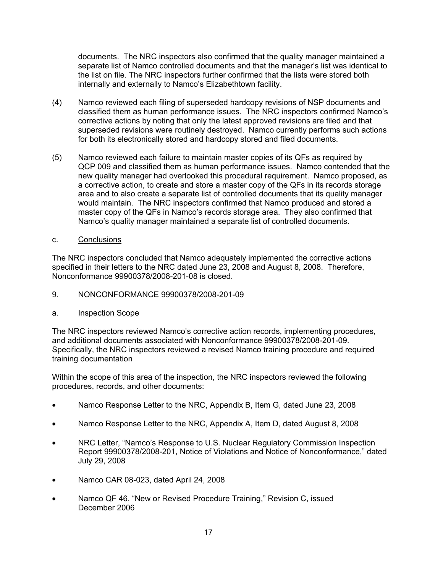documents. The NRC inspectors also confirmed that the quality manager maintained a separate list of Namco controlled documents and that the manager's list was identical to the list on file. The NRC inspectors further confirmed that the lists were stored both internally and externally to Namco's Elizabethtown facility.

- (4) Namco reviewed each filing of superseded hardcopy revisions of NSP documents and classified them as human performance issues. The NRC inspectors confirmed Namco's corrective actions by noting that only the latest approved revisions are filed and that superseded revisions were routinely destroyed. Namco currently performs such actions for both its electronically stored and hardcopy stored and filed documents.
- (5) Namco reviewed each failure to maintain master copies of its QFs as required by QCP 009 and classified them as human performance issues. Namco contended that the new quality manager had overlooked this procedural requirement. Namco proposed, as a corrective action, to create and store a master copy of the QFs in its records storage area and to also create a separate list of controlled documents that its quality manager would maintain. The NRC inspectors confirmed that Namco produced and stored a master copy of the QFs in Namco's records storage area. They also confirmed that Namco's quality manager maintained a separate list of controlled documents.
- c. Conclusions

The NRC inspectors concluded that Namco adequately implemented the corrective actions specified in their letters to the NRC dated June 23, 2008 and August 8, 2008. Therefore, Nonconformance 99900378/2008-201-08 is closed.

- 9. NONCONFORMANCE 99900378/2008-201-09
- a. Inspection Scope

The NRC inspectors reviewed Namco's corrective action records, implementing procedures, and additional documents associated with Nonconformance 99900378/2008-201-09. Specifically, the NRC inspectors reviewed a revised Namco training procedure and required training documentation

- Namco Response Letter to the NRC, Appendix B, Item G, dated June 23, 2008
- Namco Response Letter to the NRC, Appendix A, Item D, dated August 8, 2008
- NRC Letter, "Namco's Response to U.S. Nuclear Regulatory Commission Inspection Report 99900378/2008-201, Notice of Violations and Notice of Nonconformance," dated July 29, 2008
- Namco CAR 08-023, dated April 24, 2008
- Namco QF 46, "New or Revised Procedure Training," Revision C, issued December 2006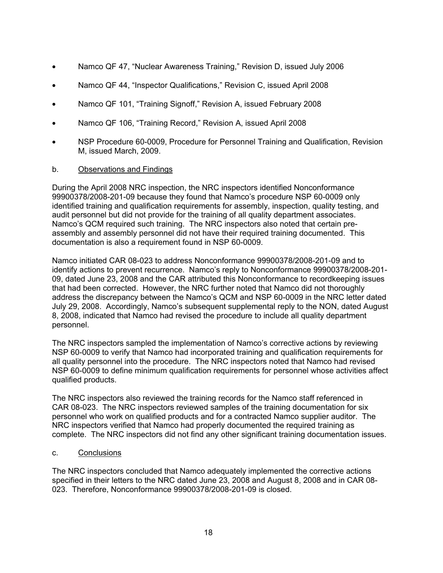- Namco QF 47, "Nuclear Awareness Training," Revision D, issued July 2006
- Namco QF 44, "Inspector Qualifications," Revision C, issued April 2008
- Namco QF 101, "Training Signoff," Revision A, issued February 2008
- Namco QF 106, "Training Record," Revision A, issued April 2008
- NSP Procedure 60-0009, Procedure for Personnel Training and Qualification, Revision M, issued March, 2009.

### b. Observations and Findings

During the April 2008 NRC inspection, the NRC inspectors identified Nonconformance 99900378/2008-201-09 because they found that Namco's procedure NSP 60-0009 only identified training and qualification requirements for assembly, inspection, quality testing, and audit personnel but did not provide for the training of all quality department associates. Namco's QCM required such training. The NRC inspectors also noted that certain preassembly and assembly personnel did not have their required training documented. This documentation is also a requirement found in NSP 60-0009.

Namco initiated CAR 08-023 to address Nonconformance 99900378/2008-201-09 and to identify actions to prevent recurrence. Namco's reply to Nonconformance 99900378/2008-201- 09, dated June 23, 2008 and the CAR attributed this Nonconformance to recordkeeping issues that had been corrected. However, the NRC further noted that Namco did not thoroughly address the discrepancy between the Namco's QCM and NSP 60-0009 in the NRC letter dated July 29, 2008. Accordingly, Namco's subsequent supplemental reply to the NON, dated August 8, 2008, indicated that Namco had revised the procedure to include all quality department personnel.

The NRC inspectors sampled the implementation of Namco's corrective actions by reviewing NSP 60-0009 to verify that Namco had incorporated training and qualification requirements for all quality personnel into the procedure. The NRC inspectors noted that Namco had revised NSP 60-0009 to define minimum qualification requirements for personnel whose activities affect qualified products.

The NRC inspectors also reviewed the training records for the Namco staff referenced in CAR 08-023. The NRC inspectors reviewed samples of the training documentation for six personnel who work on qualified products and for a contracted Namco supplier auditor. The NRC inspectors verified that Namco had properly documented the required training as complete. The NRC inspectors did not find any other significant training documentation issues.

### c. Conclusions

The NRC inspectors concluded that Namco adequately implemented the corrective actions specified in their letters to the NRC dated June 23, 2008 and August 8, 2008 and in CAR 08-023. Therefore, Nonconformance 99900378/2008-201-09 is closed.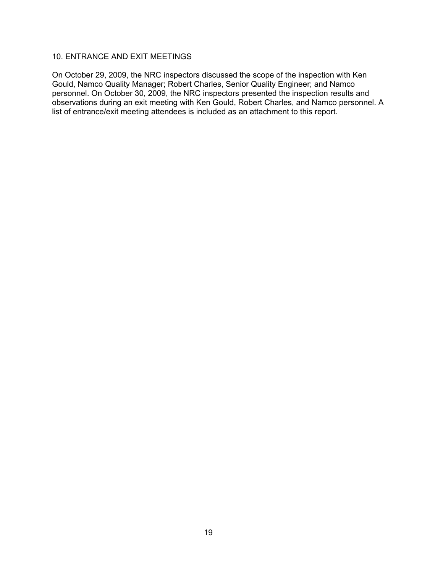# 10. ENTRANCE AND EXIT MEETINGS

On October 29, 2009, the NRC inspectors discussed the scope of the inspection with Ken Gould, Namco Quality Manager; Robert Charles, Senior Quality Engineer; and Namco personnel. On October 30, 2009, the NRC inspectors presented the inspection results and observations during an exit meeting with Ken Gould, Robert Charles, and Namco personnel. A list of entrance/exit meeting attendees is included as an attachment to this report.